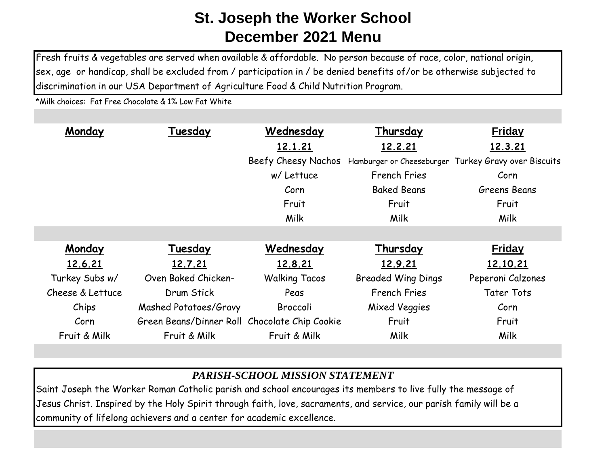Fresh fruits & vegetables are served when available & affordable. No person because of race, color, national origin, sex, age or handicap, shall be excluded from / participation in / be denied benefits of/or be otherwise subjected to discrimination in our USA Department of Agriculture Food & Child Nutrition Program.

\*Milk choices: Fat Free Chocolate & 1% Low Fat White

| Monday           | Tuesday                                       | Wednesday            | Thursday                  | <b>Friday</b>                                        |
|------------------|-----------------------------------------------|----------------------|---------------------------|------------------------------------------------------|
|                  |                                               | 12.1.21              | 12.2.21                   | 12.3.21                                              |
|                  |                                               | Beefy Cheesy Nachos  |                           | Hamburger or Cheeseburger Turkey Gravy over Biscuits |
|                  |                                               | w/ Lettuce           | <b>French Fries</b>       | Corn                                                 |
|                  |                                               | Corn                 | <b>Baked Beans</b>        | Greens Beans                                         |
|                  |                                               | Fruit                | Fruit                     | Fruit                                                |
|                  |                                               | Milk                 | Milk                      | <b>Milk</b>                                          |
|                  |                                               |                      |                           |                                                      |
| Monday           | Tuesday                                       | Wednesday            | Thursday                  | <b>Friday</b>                                        |
| 12.6.21          | 12.7.21                                       | 12.8.21              | 12.9.21                   | 12.10.21                                             |
| Turkey Subs w/   | Oven Baked Chicken-                           | <b>Walking Tacos</b> | <b>Breaded Wing Dings</b> | Peperoni Calzones                                    |
| Cheese & Lettuce | Drum Stick                                    | Peas                 | <b>French Fries</b>       | <b>Tater Tots</b>                                    |
| Chips            | Mashed Potatoes/Gravy                         | Broccoli             | Mixed Veggies             | Corn                                                 |
| Corn             | Green Beans/Dinner Roll Chocolate Chip Cookie |                      | Fruit                     | Fruit                                                |
| Fruit & Milk     | Fruit & Milk                                  | Fruit & Milk         | Milk                      | Milk                                                 |

## *PARISH-SCHOOL MISSION STATEMENT*

Saint Joseph the Worker Roman Catholic parish and school encourages its members to live fully the message of Jesus Christ. Inspired by the Holy Spirit through faith, love, sacraments, and service, our parish family will be a community of lifelong achievers and a center for academic excellence.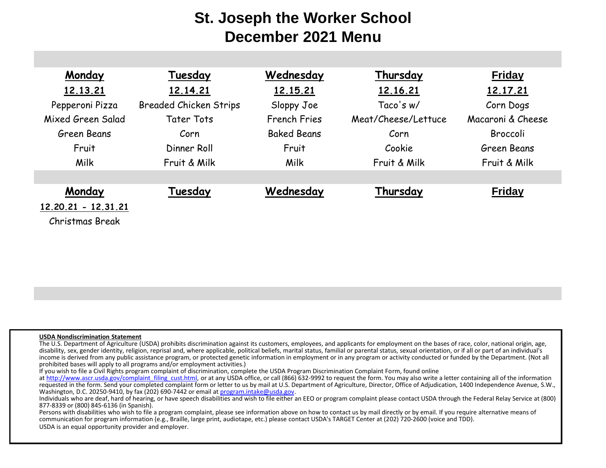| Monday<br>12.13.21  | Tuesday<br>12.14.21           | Wednesday<br>12.15.21 | Thursday<br>12.16.21 | <b>Friday</b><br>12.17.21 |
|---------------------|-------------------------------|-----------------------|----------------------|---------------------------|
| Pepperoni Pizza     | <b>Breaded Chicken Strips</b> | Sloppy Joe            | Taco's w/            | Corn Dogs                 |
| Mixed Green Salad   | <b>Tater Tots</b>             | <b>French Fries</b>   | Meat/Cheese/Lettuce  | Macaroni & Cheese         |
| Green Beans         | Corn                          | <b>Baked Beans</b>    | Corn                 | <b>Broccoli</b>           |
| Fruit               | Dinner Roll                   | Fruit                 | Cookie               | Green Beans               |
| Milk                | Fruit & Milk                  | Milk                  | Fruit & Milk         | Fruit & Milk              |
|                     |                               |                       |                      |                           |
| Monday              | Tuesday                       | Wednesday             | Thursday             | <b>Friday</b>             |
| 12.20.21 - 12.31.21 |                               |                       |                      |                           |
| Christmas Break     |                               |                       |                      |                           |

## **USDA Nondiscrimination Statement**

The U.S. Department of Agriculture (USDA) prohibits discrimination against its customers, employees, and applicants for employment on the bases of race, color, national origin, age, disability, sex, gender identity, religion, reprisal and, where applicable, political beliefs, marital status, familial or parental status, sexual orientation, or if all or part of an individual's income is derived from any public assistance program, or protected genetic information in employment or in any program or activity conducted or funded by the Department. (Not all prohibited bases will apply to all programs and/or employment activities.)

If you wish to file a Civil Rights program complaint of discrimination, complete the USDA Program Discrimination Complaint Form, found online

at http://www.ascr.usda.gov/complaint\_filing\_cust.html, or at any USDA office, or call (866) 632-9992 to request the form. You may also write a letter containing all of the information requested in the form. Send your completed complaint form or letter to us by mail at U.S. Department of Agriculture, Director, Office of Adjudication, 1400 Independence Avenue, S.W., Washington, D.C. 20250-9410, by fax (202) 690-7442 or email at program.intake@usda.gov.

Individuals who are deaf, hard of hearing, or have speech disabilities and wish to file either an EEO or program complaint please contact USDA through the Federal Relay Service at (800) 877-8339 or (800) 845-6136 (in Spanish).

Persons with disabilities who wish to file a program complaint, please see information above on how to contact us by mail directly or by email. If you require alternative means of communication for program information (e.g., Braille, large print, audiotape, etc.) please contact USDA's TARGET Center at (202) 720-2600 (voice and TDD). USDA is an equal opportunity provider and employer.